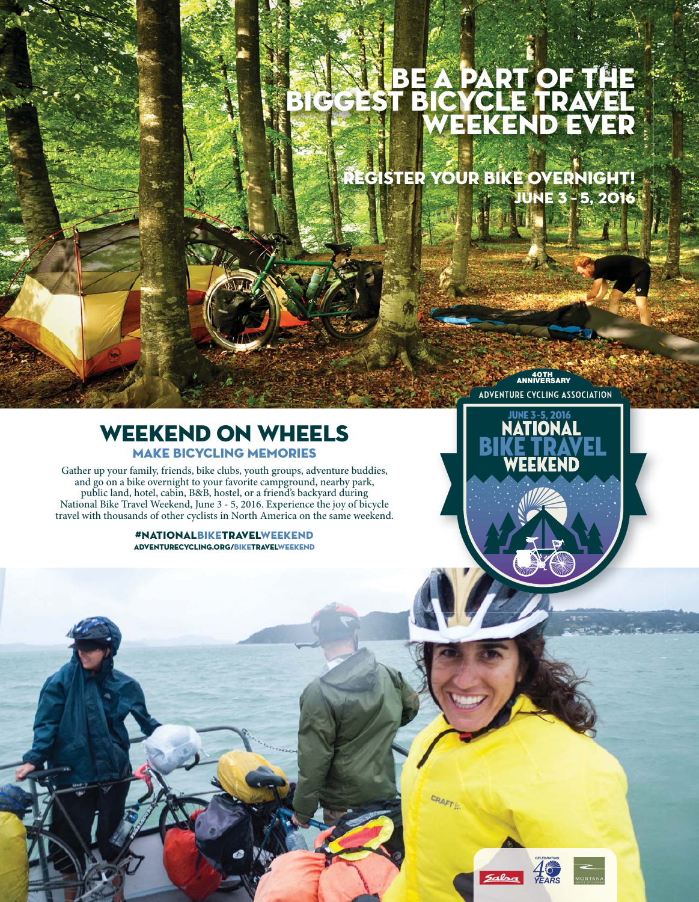## BE A PART OF THE biggest bicycle travel WEEKEND EVER

Register Your Bike Overnight! june 3 – 5, 2016

> **4OTH ANNIVERSARY** ADVENTURE CYCLING ASSOCIATION

## WEEKEND ON WHEELS Make Bicycling Memories

Gather up your family, friends, bike clubs, youth groups, adventure buddies, and go on a bike overnight to your favorite campground, nearby park, public land, hotel, cabin, B&B, hostel, or a friend's backyard during National Bike Travel Weekend, June 3 - 5, 2016. Experience the joy of bicycle travel with thousands of other cyclists in North America on the same weekend.

> #nationalBiketravelWeekend ADVENTURECYCLING.ORG/biketravelweekend





CRAFT

4 *CELEBRATING YEARS*